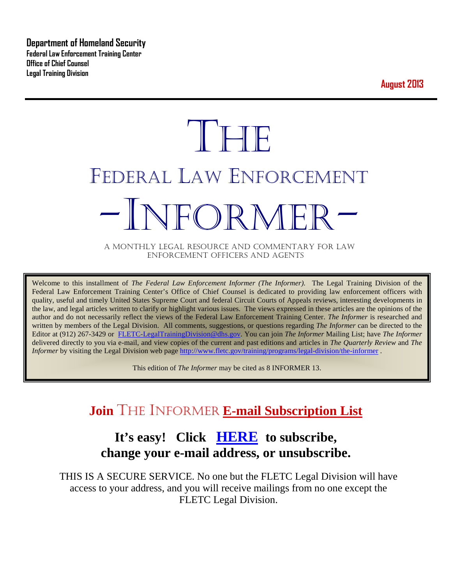**Department of Homeland Security Federal Law Enforcement Training Center Office of Chief Counsel Legal Training Division** 

**August 2013**

# **THE** FEDERAL LAW ENFORCEMENT -INFORMER- A MONTHLY LEGAL RESOURCE AND COMMENTARY FOR LAW

ENFORCEMENT OFFICERS AND AGENTS

Welcome to this installment of *The Federal Law Enforcement Informer (The Informer).* The Legal Training Division of the Federal Law Enforcement Training Center's Office of Chief Counsel is dedicated to providing law enforcement officers with quality, useful and timely United States Supreme Court and federal Circuit Courts of Appeals reviews, interesting developments in the law, and legal articles written to clarify or highlight various issues. The views expressed in these articles are the opinions of the author and do not necessarily reflect the views of the Federal Law Enforcement Training Center. *The Informer* is researched and written by members of the Legal Division. All comments, suggestions, or questions regarding *The Informer* can be directed to the Editor at (912) 267-3429 or [FLETC-LegalTrainingDivision@dhs.gov.](mailto:FLETC-LegalTrainingDivision@dhs.gov) You can join *The Informer* Mailing List; have *The Informer* delivered directly to you via e-mail, and view copies of the current and past editions and articles in *The Quarterly Review* and *The Informer* by visiting the Legal Division web page<http://www.fletc.gov/training/programs/legal-division/the-informer>.

This edition of *The Informer* may be cited as 8 INFORMER 13.

## **Join** THE INFORMER **E-mail Subscription List**

## **It's easy! Click [HERE](http://peach.ease.lsoft.com/scripts/wa.exe?SUBED1=fletclgd&A=1) to subscribe, change your e-mail address, or unsubscribe.**

THIS IS A SECURE SERVICE. No one but the FLETC Legal Division will have access to your address, and you will receive mailings from no one except the FLETC Legal Division.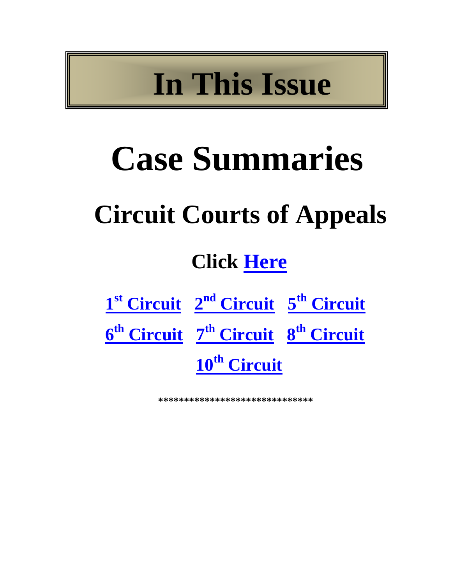# **In This Issue**

# **Case Summaries**

## **Circuit Courts of Appeals**

## **Click [Here](#page-2-0)**

| 1 <sup>st</sup> Circuit 2 <sup>nd</sup> Circuit 5 <sup>th</sup> Circuit |  |
|-------------------------------------------------------------------------|--|
| 6 <sup>th</sup> Circuit 7 <sup>th</sup> Circuit 8 <sup>th</sup> Circuit |  |
| 10 <sup>th</sup> Circuit                                                |  |

**\*\*\*\*\*\*\*\*\*\*\*\*\*\*\*\*\*\*\*\*\*\*\*\*\*\*\*\*\*\***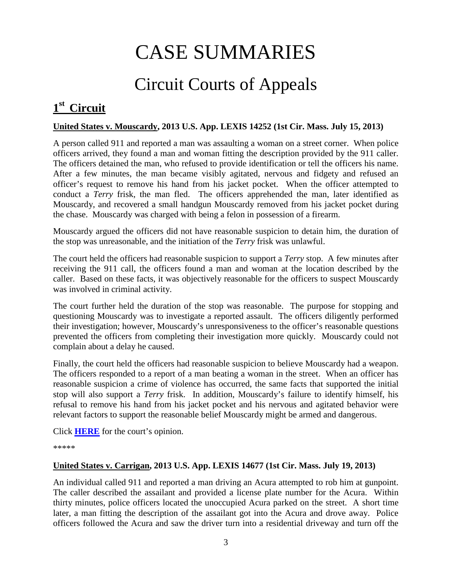## CASE SUMMARIES

## Circuit Courts of Appeals

## <span id="page-2-1"></span><span id="page-2-0"></span>**1st Circuit**

#### **United States v. Mouscardy, 2013 U.S. App. LEXIS 14252 (1st Cir. Mass. July 15, 2013)**

A person called 911 and reported a man was assaulting a woman on a street corner. When police officers arrived, they found a man and woman fitting the description provided by the 911 caller. The officers detained the man, who refused to provide identification or tell the officers his name. After a few minutes, the man became visibly agitated, nervous and fidgety and refused an officer's request to remove his hand from his jacket pocket. When the officer attempted to conduct a *Terry* frisk, the man fled. The officers apprehended the man, later identified as Mouscardy, and recovered a small handgun Mouscardy removed from his jacket pocket during the chase. Mouscardy was charged with being a felon in possession of a firearm.

Mouscardy argued the officers did not have reasonable suspicion to detain him, the duration of the stop was unreasonable, and the initiation of the *Terry* frisk was unlawful.

The court held the officers had reasonable suspicion to support a *Terry* stop. A few minutes after receiving the 911 call, the officers found a man and woman at the location described by the caller. Based on these facts, it was objectively reasonable for the officers to suspect Mouscardy was involved in criminal activity.

The court further held the duration of the stop was reasonable. The purpose for stopping and questioning Mouscardy was to investigate a reported assault. The officers diligently performed their investigation; however, Mouscardy's unresponsiveness to the officer's reasonable questions prevented the officers from completing their investigation more quickly. Mouscardy could not complain about a delay he caused.

Finally, the court held the officers had reasonable suspicion to believe Mouscardy had a weapon. The officers responded to a report of a man beating a woman in the street. When an officer has reasonable suspicion a crime of violence has occurred, the same facts that supported the initial stop will also support a *Terry* frisk. In addition, Mouscardy's failure to identify himself, his refusal to remove his hand from his jacket pocket and his nervous and agitated behavior were relevant factors to support the reasonable belief Mouscardy might be armed and dangerous.

Click **[HERE](http://docs.justia.com/cases/federal/appellate-courts/ca1/11-2356/11-2356-2013-07-15.pdf)** for the court's opinion.

\*\*\*\*\*

#### **United States v. Carrigan, 2013 U.S. App. LEXIS 14677 (1st Cir. Mass. July 19, 2013)**

An individual called 911 and reported a man driving an Acura attempted to rob him at gunpoint. The caller described the assailant and provided a license plate number for the Acura. Within thirty minutes, police officers located the unoccupied Acura parked on the street. A short time later, a man fitting the description of the assailant got into the Acura and drove away. Police officers followed the Acura and saw the driver turn into a residential driveway and turn off the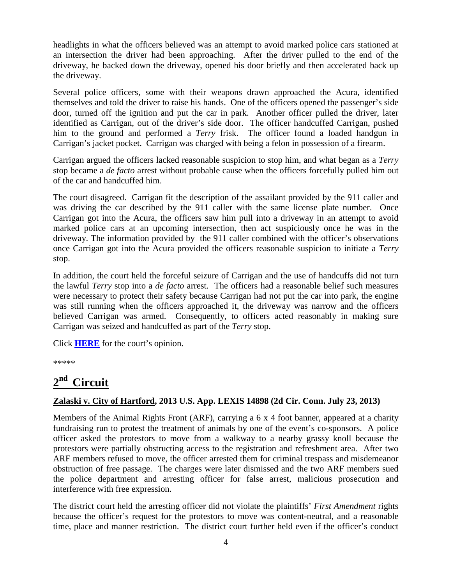headlights in what the officers believed was an attempt to avoid marked police cars stationed at an intersection the driver had been approaching. After the driver pulled to the end of the driveway, he backed down the driveway, opened his door briefly and then accelerated back up the driveway.

Several police officers, some with their weapons drawn approached the Acura, identified themselves and told the driver to raise his hands. One of the officers opened the passenger's side door, turned off the ignition and put the car in park. Another officer pulled the driver, later identified as Carrigan, out of the driver's side door. The officer handcuffed Carrigan, pushed him to the ground and performed a *Terry* frisk. The officer found a loaded handgun in Carrigan's jacket pocket. Carrigan was charged with being a felon in possession of a firearm.

Carrigan argued the officers lacked reasonable suspicion to stop him, and what began as a *Terry*  stop became a *de facto* arrest without probable cause when the officers forcefully pulled him out of the car and handcuffed him.

The court disagreed. Carrigan fit the description of the assailant provided by the 911 caller and was driving the car described by the 911 caller with the same license plate number. Once Carrigan got into the Acura, the officers saw him pull into a driveway in an attempt to avoid marked police cars at an upcoming intersection, then act suspiciously once he was in the driveway. The information provided by the 911 caller combined with the officer's observations once Carrigan got into the Acura provided the officers reasonable suspicion to initiate a *Terry*  stop.

In addition, the court held the forceful seizure of Carrigan and the use of handcuffs did not turn the lawful *Terry* stop into a *de facto* arrest. The officers had a reasonable belief such measures were necessary to protect their safety because Carrigan had not put the car into park, the engine was still running when the officers approached it, the driveway was narrow and the officers believed Carrigan was armed. Consequently, to officers acted reasonably in making sure Carrigan was seized and handcuffed as part of the *Terry* stop.

Click **[HERE](http://docs.justia.com/cases/federal/appellate-courts/ca1/11-1916/11-1916-2013-07-19.pdf)** for the court's opinion.

\*\*\*\*\*

## <span id="page-3-0"></span>**2nd Circuit**

## **Zalaski v. City of Hartford, 2013 U.S. App. LEXIS 14898 (2d Cir. Conn. July 23, 2013)**

Members of the Animal Rights Front (ARF), carrying a 6 x 4 foot banner, appeared at a charity fundraising run to protest the treatment of animals by one of the event's co-sponsors. A police officer asked the protestors to move from a walkway to a nearby grassy knoll because the protestors were partially obstructing access to the registration and refreshment area. After two ARF members refused to move, the officer arrested them for criminal trespass and misdemeanor obstruction of free passage. The charges were later dismissed and the two ARF members sued the police department and arresting officer for false arrest, malicious prosecution and interference with free expression.

The district court held the arresting officer did not violate the plaintiffs' *First Amendment* rights because the officer's request for the protestors to move was content-neutral, and a reasonable time, place and manner restriction. The district court further held even if the officer's conduct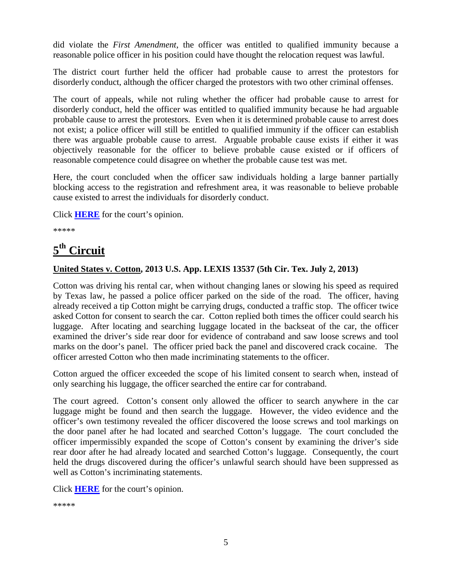did violate the *First Amendment*, the officer was entitled to qualified immunity because a reasonable police officer in his position could have thought the relocation request was lawful.

The district court further held the officer had probable cause to arrest the protestors for disorderly conduct, although the officer charged the protestors with two other criminal offenses.

The court of appeals, while not ruling whether the officer had probable cause to arrest for disorderly conduct, held the officer was entitled to qualified immunity because he had arguable probable cause to arrest the protestors. Even when it is determined probable cause to arrest does not exist; a police officer will still be entitled to qualified immunity if the officer can establish there was arguable probable cause to arrest. Arguable probable cause exists if either it was objectively reasonable for the officer to believe probable cause existed or if officers of reasonable competence could disagree on whether the probable cause test was met.

Here, the court concluded when the officer saw individuals holding a large banner partially blocking access to the registration and refreshment area, it was reasonable to believe probable cause existed to arrest the individuals for disorderly conduct.

Click **[HERE](http://docs.justia.com/cases/federal/appellate-courts/ca2/12-621/12-621-2013-07-23.pdf)** for the court's opinion.

\*\*\*\*\*

## <span id="page-4-0"></span>**5th Circuit**

#### **United States v. Cotton, 2013 U.S. App. LEXIS 13537 (5th Cir. Tex. July 2, 2013)**

Cotton was driving his rental car, when without changing lanes or slowing his speed as required by Texas law, he passed a police officer parked on the side of the road. The officer, having already received a tip Cotton might be carrying drugs, conducted a traffic stop. The officer twice asked Cotton for consent to search the car. Cotton replied both times the officer could search his luggage. After locating and searching luggage located in the backseat of the car, the officer examined the driver's side rear door for evidence of contraband and saw loose screws and tool marks on the door's panel. The officer pried back the panel and discovered crack cocaine. The officer arrested Cotton who then made incriminating statements to the officer.

Cotton argued the officer exceeded the scope of his limited consent to search when, instead of only searching his luggage, the officer searched the entire car for contraband.

The court agreed. Cotton's consent only allowed the officer to search anywhere in the car luggage might be found and then search the luggage. However, the video evidence and the officer's own testimony revealed the officer discovered the loose screws and tool markings on the door panel after he had located and searched Cotton's luggage. The court concluded the officer impermissibly expanded the scope of Cotton's consent by examining the driver's side rear door after he had already located and searched Cotton's luggage. Consequently, the court held the drugs discovered during the officer's unlawful search should have been suppressed as well as Cotton's incriminating statements.

Click **[HERE](http://docs.justia.com/cases/federal/appellate-courts/ca5/12-40563/12-40563-2013-07-02.pdf)** for the court's opinion.

\*\*\*\*\*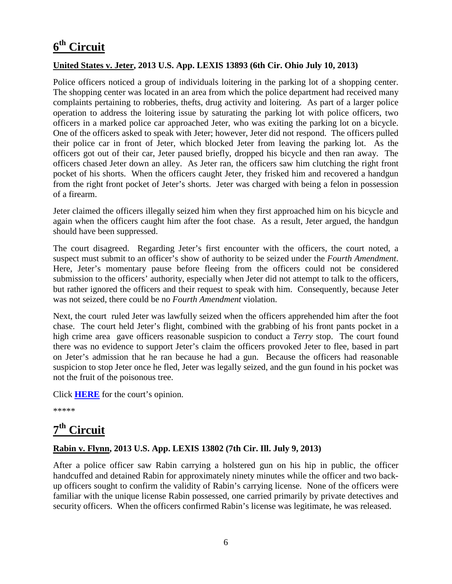## <span id="page-5-0"></span>**6th Circuit**

#### **United States v. Jeter, 2013 U.S. App. LEXIS 13893 (6th Cir. Ohio July 10, 2013)**

Police officers noticed a group of individuals loitering in the parking lot of a shopping center. The shopping center was located in an area from which the police department had received many complaints pertaining to robberies, thefts, drug activity and loitering. As part of a larger police operation to address the loitering issue by saturating the parking lot with police officers, two officers in a marked police car approached Jeter, who was exiting the parking lot on a bicycle. One of the officers asked to speak with Jeter; however, Jeter did not respond. The officers pulled their police car in front of Jeter, which blocked Jeter from leaving the parking lot. As the officers got out of their car, Jeter paused briefly, dropped his bicycle and then ran away. The officers chased Jeter down an alley. As Jeter ran, the officers saw him clutching the right front pocket of his shorts. When the officers caught Jeter, they frisked him and recovered a handgun from the right front pocket of Jeter's shorts. Jeter was charged with being a felon in possession of a firearm.

Jeter claimed the officers illegally seized him when they first approached him on his bicycle and again when the officers caught him after the foot chase. As a result, Jeter argued, the handgun should have been suppressed.

The court disagreed. Regarding Jeter's first encounter with the officers, the court noted, a suspect must submit to an officer's show of authority to be seized under the *Fourth Amendment*. Here, Jeter's momentary pause before fleeing from the officers could not be considered submission to the officers' authority, especially when Jeter did not attempt to talk to the officers, but rather ignored the officers and their request to speak with him. Consequently, because Jeter was not seized, there could be no *Fourth Amendment* violation.

Next, the court ruled Jeter was lawfully seized when the officers apprehended him after the foot chase. The court held Jeter's flight, combined with the grabbing of his front pants pocket in a high crime area gave officers reasonable suspicion to conduct a *Terry* stop. The court found there was no evidence to support Jeter's claim the officers provoked Jeter to flee, based in part on Jeter's admission that he ran because he had a gun. Because the officers had reasonable suspicion to stop Jeter once he fled, Jeter was legally seized, and the gun found in his pocket was not the fruit of the poisonous tree.

Click **[HERE](http://docs.justia.com/cases/federal/appellate-courts/ca6/12-3909/12-3909-2013-07-10.pdf)** for the court's opinion.

\*\*\*\*\*

## <span id="page-5-1"></span>**7th Circuit**

#### **Rabin v. Flynn, 2013 U.S. App. LEXIS 13802 (7th Cir. Ill. July 9, 2013)**

After a police officer saw Rabin carrying a holstered gun on his hip in public, the officer handcuffed and detained Rabin for approximately ninety minutes while the officer and two backup officers sought to confirm the validity of Rabin's carrying license. None of the officers were familiar with the unique license Rabin possessed, one carried primarily by private detectives and security officers. When the officers confirmed Rabin's license was legitimate, he was released.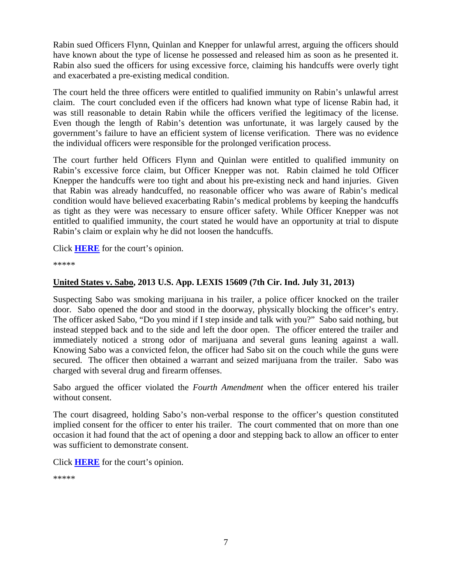Rabin sued Officers Flynn, Quinlan and Knepper for unlawful arrest, arguing the officers should have known about the type of license he possessed and released him as soon as he presented it. Rabin also sued the officers for using excessive force, claiming his handcuffs were overly tight and exacerbated a pre-existing medical condition.

The court held the three officers were entitled to qualified immunity on Rabin's unlawful arrest claim. The court concluded even if the officers had known what type of license Rabin had, it was still reasonable to detain Rabin while the officers verified the legitimacy of the license. Even though the length of Rabin's detention was unfortunate, it was largely caused by the government's failure to have an efficient system of license verification. There was no evidence the individual officers were responsible for the prolonged verification process.

The court further held Officers Flynn and Quinlan were entitled to qualified immunity on Rabin's excessive force claim, but Officer Knepper was not. Rabin claimed he told Officer Knepper the handcuffs were too tight and about his pre-existing neck and hand injuries. Given that Rabin was already handcuffed, no reasonable officer who was aware of Rabin's medical condition would have believed exacerbating Rabin's medical problems by keeping the handcuffs as tight as they were was necessary to ensure officer safety. While Officer Knepper was not entitled to qualified immunity, the court stated he would have an opportunity at trial to dispute Rabin's claim or explain why he did not loosen the handcuffs.

Click **[HERE](http://docs.justia.com/cases/federal/appellate-courts/ca7/11-3904/11-3904-2013-07-09.pdf)** for the court's opinion.

\*\*\*\*\*

### **United States v. Sabo, 2013 U.S. App. LEXIS 15609 (7th Cir. Ind. July 31, 2013)**

Suspecting Sabo was smoking marijuana in his trailer, a police officer knocked on the trailer door. Sabo opened the door and stood in the doorway, physically blocking the officer's entry. The officer asked Sabo, "Do you mind if I step inside and talk with you?" Sabo said nothing, but instead stepped back and to the side and left the door open. The officer entered the trailer and immediately noticed a strong odor of marijuana and several guns leaning against a wall. Knowing Sabo was a convicted felon, the officer had Sabo sit on the couch while the guns were secured. The officer then obtained a warrant and seized marijuana from the trailer. Sabo was charged with several drug and firearm offenses.

Sabo argued the officer violated the *Fourth Amendment* when the officer entered his trailer without consent.

The court disagreed, holding Sabo's non-verbal response to the officer's question constituted implied consent for the officer to enter his trailer. The court commented that on more than one occasion it had found that the act of opening a door and stepping back to allow an officer to enter was sufficient to demonstrate consent.

Click **[HERE](http://docs.justia.com/cases/federal/appellate-courts/ca7/12-2700/12-2700-2013-07-31.pdf)** for the court's opinion.

\*\*\*\*\*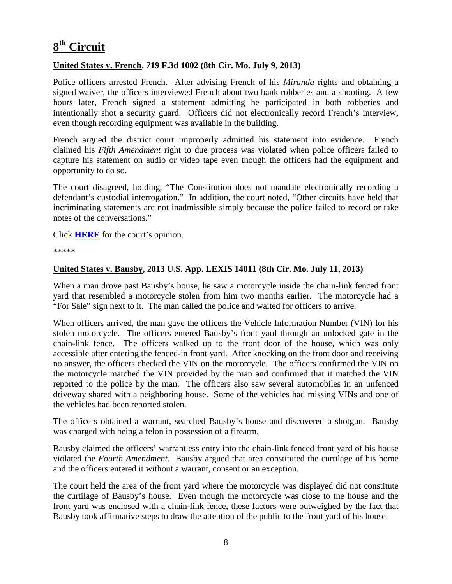## <span id="page-7-0"></span>**8th Circuit**

#### **United States v. French, 719 F.3d 1002 (8th Cir. Mo. July 9, 2013)**

Police officers arrested French. After advising French of his *Miranda* rights and obtaining a signed waiver, the officers interviewed French about two bank robberies and a shooting. A few hours later, French signed a statement admitting he participated in both robberies and intentionally shot a security guard. Officers did not electronically record French's interview, even though recording equipment was available in the building.

French argued the district court improperly admitted his statement into evidence. French claimed his *Fifth Amendment* right to due process was violated when police officers failed to capture his statement on audio or video tape even though the officers had the equipment and opportunity to do so.

The court disagreed, holding, "The Constitution does not mandate electronically recording a defendant's custodial interrogation." In addition, the court noted, "Other circuits have held that incriminating statements are not inadmissible simply because the police failed to record or take notes of the conversations."

Click **[HERE](http://docs.justia.com/cases/federal/appellate-courts/ca8/12-2542/12-2542-2013-07-09.pdf)** for the court's opinion.

\*\*\*\*\*

#### **United States v. Bausby, 2013 U.S. App. LEXIS 14011 (8th Cir. Mo. July 11, 2013)**

When a man drove past Bausby's house, he saw a motorcycle inside the chain-link fenced front yard that resembled a motorcycle stolen from him two months earlier. The motorcycle had a "For Sale" sign next to it. The man called the police and waited for officers to arrive.

When officers arrived, the man gave the officers the Vehicle Information Number (VIN) for his stolen motorcycle. The officers entered Bausby's front yard through an unlocked gate in the chain-link fence. The officers walked up to the front door of the house, which was only accessible after entering the fenced-in front yard. After knocking on the front door and receiving no answer, the officers checked the VIN on the motorcycle. The officers confirmed the VIN on the motorcycle matched the VIN provided by the man and confirmed that it matched the VIN reported to the police by the man. The officers also saw several automobiles in an unfenced driveway shared with a neighboring house. Some of the vehicles had missing VINs and one of the vehicles had been reported stolen.

The officers obtained a warrant, searched Bausby's house and discovered a shotgun. Bausby was charged with being a felon in possession of a firearm.

Bausby claimed the officers' warrantless entry into the chain-link fenced front yard of his house violated the *Fourth Amendment*. Bausby argued that area constituted the curtilage of his home and the officers entered it without a warrant, consent or an exception.

The court held the area of the front yard where the motorcycle was displayed did not constitute the curtilage of Bausby's house. Even though the motorcycle was close to the house and the front yard was enclosed with a chain-link fence, these factors were outweighed by the fact that Bausby took affirmative steps to draw the attention of the public to the front yard of his house.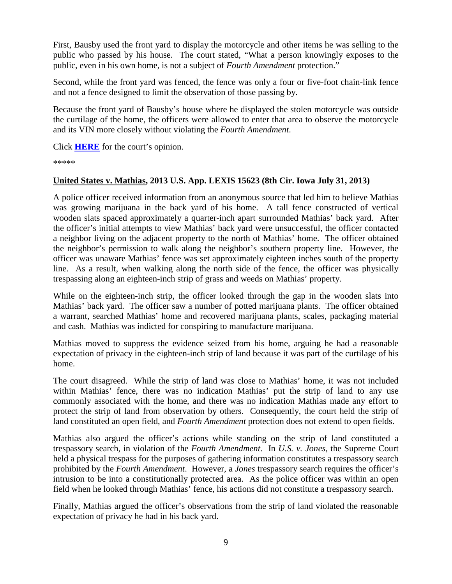First, Bausby used the front yard to display the motorcycle and other items he was selling to the public who passed by his house. The court stated, "What a person knowingly exposes to the public, even in his own home, is not a subject of *Fourth Amendment* protection."

Second, while the front yard was fenced, the fence was only a four or five-foot chain-link fence and not a fence designed to limit the observation of those passing by.

Because the front yard of Bausby's house where he displayed the stolen motorcycle was outside the curtilage of the home, the officers were allowed to enter that area to observe the motorcycle and its VIN more closely without violating the *Fourth Amendment*.

Click **[HERE](http://docs.justia.com/cases/federal/appellate-courts/ca8/12-3212/12-3212-2013-07-11.pdf)** for the court's opinion.

\*\*\*\*\*

### **United States v. Mathias, 2013 U.S. App. LEXIS 15623 (8th Cir. Iowa July 31, 2013)**

A police officer received information from an anonymous source that led him to believe Mathias was growing marijuana in the back yard of his home. A tall fence constructed of vertical wooden slats spaced approximately a quarter-inch apart surrounded Mathias' back yard. After the officer's initial attempts to view Mathias' back yard were unsuccessful, the officer contacted a neighbor living on the adjacent property to the north of Mathias' home. The officer obtained the neighbor's permission to walk along the neighbor's southern property line. However, the officer was unaware Mathias' fence was set approximately eighteen inches south of the property line. As a result, when walking along the north side of the fence, the officer was physically trespassing along an eighteen-inch strip of grass and weeds on Mathias' property.

While on the eighteen-inch strip, the officer looked through the gap in the wooden slats into Mathias' back yard. The officer saw a number of potted marijuana plants. The officer obtained a warrant, searched Mathias' home and recovered marijuana plants, scales, packaging material and cash. Mathias was indicted for conspiring to manufacture marijuana.

Mathias moved to suppress the evidence seized from his home, arguing he had a reasonable expectation of privacy in the eighteen-inch strip of land because it was part of the curtilage of his home.

The court disagreed. While the strip of land was close to Mathias' home, it was not included within Mathias' fence, there was no indication Mathias' put the strip of land to any use commonly associated with the home, and there was no indication Mathias made any effort to protect the strip of land from observation by others. Consequently, the court held the strip of land constituted an open field, and *Fourth Amendment* protection does not extend to open fields.

Mathias also argued the officer's actions while standing on the strip of land constituted a trespassory search, in violation of the *Fourth Amendment*. In *U.S. v. Jones*, the Supreme Court held a physical trespass for the purposes of gathering information constitutes a trespassory search prohibited by the *Fourth Amendment*. However, a *Jones* trespassory search requires the officer's intrusion to be into a constitutionally protected area. As the police officer was within an open field when he looked through Mathias' fence, his actions did not constitute a trespassory search.

Finally, Mathias argued the officer's observations from the strip of land violated the reasonable expectation of privacy he had in his back yard.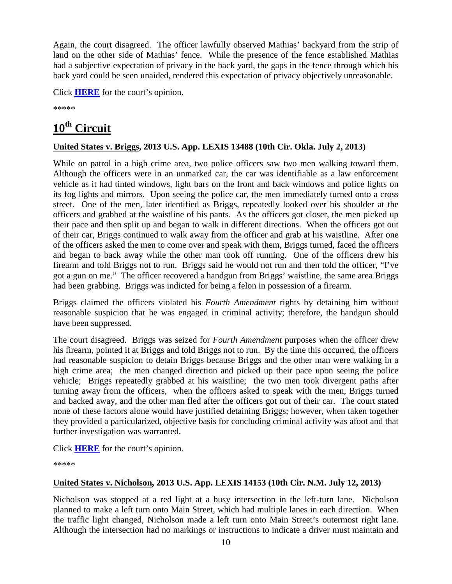Again, the court disagreed. The officer lawfully observed Mathias' backyard from the strip of land on the other side of Mathias' fence. While the presence of the fence established Mathias had a subjective expectation of privacy in the back yard, the gaps in the fence through which his back yard could be seen unaided, rendered this expectation of privacy objectively unreasonable.

Click **[HERE](http://docs.justia.com/cases/federal/appellate-courts/ca8/12-3092/12-3092-2013-07-31.pdf)** for the court's opinion.

\*\*\*\*\*

## <span id="page-9-0"></span>**10th Circuit**

## **United States v. Briggs, 2013 U.S. App. LEXIS 13488 (10th Cir. Okla. July 2, 2013)**

While on patrol in a high crime area, two police officers saw two men walking toward them. Although the officers were in an unmarked car, the car was identifiable as a law enforcement vehicle as it had tinted windows, light bars on the front and back windows and police lights on its fog lights and mirrors. Upon seeing the police car, the men immediately turned onto a cross street. One of the men, later identified as Briggs, repeatedly looked over his shoulder at the officers and grabbed at the waistline of his pants. As the officers got closer, the men picked up their pace and then split up and began to walk in different directions. When the officers got out of their car, Briggs continued to walk away from the officer and grab at his waistline. After one of the officers asked the men to come over and speak with them, Briggs turned, faced the officers and began to back away while the other man took off running. One of the officers drew his firearm and told Briggs not to run. Briggs said he would not run and then told the officer, "I've got a gun on me." The officer recovered a handgun from Briggs' waistline, the same area Briggs had been grabbing. Briggs was indicted for being a felon in possession of a firearm.

Briggs claimed the officers violated his *Fourth Amendment* rights by detaining him without reasonable suspicion that he was engaged in criminal activity; therefore, the handgun should have been suppressed.

The court disagreed. Briggs was seized for *Fourth Amendment* purposes when the officer drew his firearm, pointed it at Briggs and told Briggs not to run. By the time this occurred, the officers had reasonable suspicion to detain Briggs because Briggs and the other man were walking in a high crime area; the men changed direction and picked up their pace upon seeing the police vehicle; Briggs repeatedly grabbed at his waistline; the two men took divergent paths after turning away from the officers, when the officers asked to speak with the men, Briggs turned and backed away, and the other man fled after the officers got out of their car. The court stated none of these factors alone would have justified detaining Briggs; however, when taken together they provided a particularized, objective basis for concluding criminal activity was afoot and that further investigation was warranted.

Click **[HERE](http://docs.justia.com/cases/federal/appellate-courts/ca10/12-5140/12-5140-2013-07-02.pdf)** for the court's opinion.

\*\*\*\*\*

## **United States v. Nicholson, 2013 U.S. App. LEXIS 14153 (10th Cir. N.M. July 12, 2013)**

Nicholson was stopped at a red light at a busy intersection in the left-turn lane. Nicholson planned to make a left turn onto Main Street, which had multiple lanes in each direction. When the traffic light changed, Nicholson made a left turn onto Main Street's outermost right lane. Although the intersection had no markings or instructions to indicate a driver must maintain and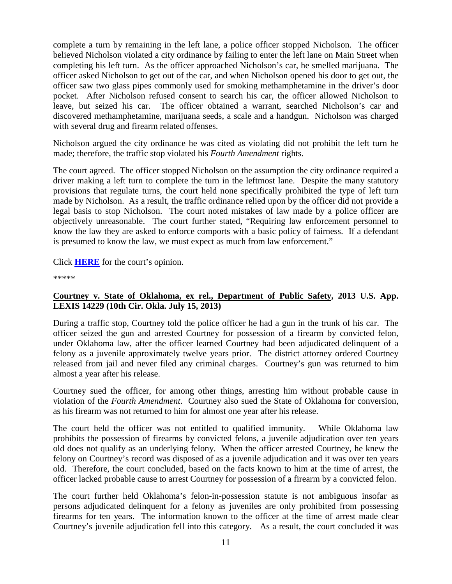complete a turn by remaining in the left lane, a police officer stopped Nicholson. The officer believed Nicholson violated a city ordinance by failing to enter the left lane on Main Street when completing his left turn. As the officer approached Nicholson's car, he smelled marijuana. The officer asked Nicholson to get out of the car, and when Nicholson opened his door to get out, the officer saw two glass pipes commonly used for smoking methamphetamine in the driver's door pocket. After Nicholson refused consent to search his car, the officer allowed Nicholson to leave, but seized his car. The officer obtained a warrant, searched Nicholson's car and discovered methamphetamine, marijuana seeds, a scale and a handgun. Nicholson was charged with several drug and firearm related offenses.

Nicholson argued the city ordinance he was cited as violating did not prohibit the left turn he made; therefore, the traffic stop violated his *Fourth Amendment* rights.

The court agreed. The officer stopped Nicholson on the assumption the city ordinance required a driver making a left turn to complete the turn in the leftmost lane. Despite the many statutory provisions that regulate turns, the court held none specifically prohibited the type of left turn made by Nicholson. As a result, the traffic ordinance relied upon by the officer did not provide a legal basis to stop Nicholson. The court noted mistakes of law made by a police officer are objectively unreasonable. The court further stated, "Requiring law enforcement personnel to know the law they are asked to enforce comports with a basic policy of fairness. If a defendant is presumed to know the law, we must expect as much from law enforcement."

#### Click **[HERE](http://docs.justia.com/cases/federal/appellate-courts/ca10/11-2169/11-2169-2013-07-12.pdf)** for the court's opinion.

\*\*\*\*\*

### **Courtney v. State of Oklahoma, ex rel., Department of Public Safety, 2013 U.S. App. LEXIS 14229 (10th Cir. Okla. July 15, 2013)**

During a traffic stop, Courtney told the police officer he had a gun in the trunk of his car. The officer seized the gun and arrested Courtney for possession of a firearm by convicted felon, under Oklahoma law, after the officer learned Courtney had been adjudicated delinquent of a felony as a juvenile approximately twelve years prior. The district attorney ordered Courtney released from jail and never filed any criminal charges. Courtney's gun was returned to him almost a year after his release.

Courtney sued the officer, for among other things, arresting him without probable cause in violation of the *Fourth Amendment*. Courtney also sued the State of Oklahoma for conversion, as his firearm was not returned to him for almost one year after his release.

The court held the officer was not entitled to qualified immunity. While Oklahoma law prohibits the possession of firearms by convicted felons, a juvenile adjudication over ten years old does not qualify as an underlying felony. When the officer arrested Courtney, he knew the felony on Courtney's record was disposed of as a juvenile adjudication and it was over ten years old. Therefore, the court concluded, based on the facts known to him at the time of arrest, the officer lacked probable cause to arrest Courtney for possession of a firearm by a convicted felon.

The court further held Oklahoma's felon-in-possession statute is not ambiguous insofar as persons adjudicated delinquent for a felony as juveniles are only prohibited from possessing firearms for ten years. The information known to the officer at the time of arrest made clear Courtney's juvenile adjudication fell into this category. As a result, the court concluded it was